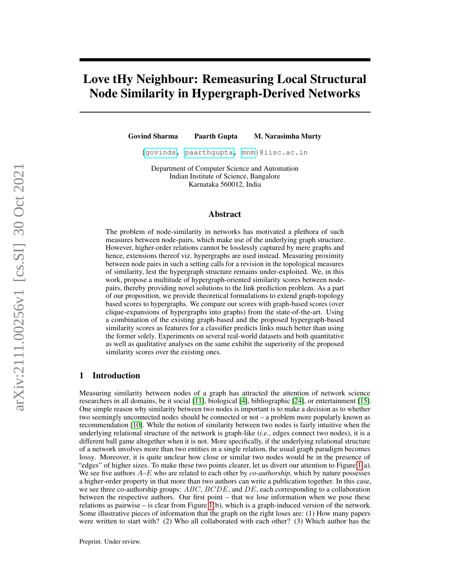# Love tHy Neighbour: Remeasuring Local Structural Node Similarity in Hypergraph-Derived Networks

Govind Sharma Paarth Gupta M. Narasimha Murty

{[govinds,](mailto:govinds@iisc.ac.in) [paarthgupta,](mailto:paarthgupta@iisc.ac.in) [mnm}](mailto:mnm@iisc.ac.in)@iisc.ac.in

Department of Computer Science and Automation Indian Institute of Science, Bangalore Karnataka 560012, India

# Abstract

The problem of node-similarity in networks has motivated a plethora of such measures between node-pairs, which make use of the underlying graph structure. However, higher-order relations cannot be losslessly captured by mere graphs and hence, extensions thereof viz. hypergraphs are used instead. Measuring proximity between node pairs in such a setting calls for a revision in the topological measures of similarity, lest the hypergraph structure remains under-exploited. We, in this work, propose a multitude of hypergraph-oriented similarity scores between nodepairs, thereby providing novel solutions to the link prediction problem. As a part of our proposition, we provide theoretical formulations to extend graph-topology based scores to hypergraphs. We compare our scores with graph-based scores (over clique-expansions of hypergraphs into graphs) from the state-of-the-art. Using a combination of the existing graph-based and the proposed hypergraph-based similarity scores as features for a classifier predicts links much better than using the former solely. Experiments on several real-world datasets and both quantitative as well as qualitative analyses on the same exhibit the superiority of the proposed similarity scores over the existing ones.

# 1 Introduction

Measuring similarity between nodes of a graph has attracted the attention of network science researchers in all domains, be it social [\[11\]](#page-13-0), biological [\[4\]](#page-13-1), bibliographic [\[24\]](#page-14-0), or entertainment [\[15\]](#page-13-2). One simple reason why similarity between two nodes is important is to make a decision as to whether two seemingly unconnected nodes should be connected or not – a problem more popularly known as recommendation [\[10\]](#page-13-3). While the notion of similarity between two nodes is fairly intuitive when the underlying relational structure of the network is graph-like (*i.e.*, edges connect two nodes), it is a different ball game altogether when it is not. More specifically, if the underlying relational structure of a network involves more than two entities in a single relation, the usual graph paradigm becomes lossy. Moreover, it is quite unclear how close or similar two nodes would be in the presence of "edges" of higher sizes. To make these two points clearer, let us divert our attention to Figure [1\(](#page-1-0)a). We see five authors  $A$ –E who are related to each other by *co-authorship*, which by nature possesses a higher-order property in that more than two authors can write a publication together. In this case, we see three co-authorship groups:  $ABC$ ,  $BCDE$ , and  $DE$ , each corresponding to a collaboration between the respective authors. Our first point – that we lose information when we pose these relations as pairwise – is clear from Figure [1\(](#page-1-0)b), which is a graph-induced version of the network. Some illustrative pieces of information that the graph on the right loses are: (1) How many papers were written to start with? (2) Who all collaborated with each other? (3) Which author has the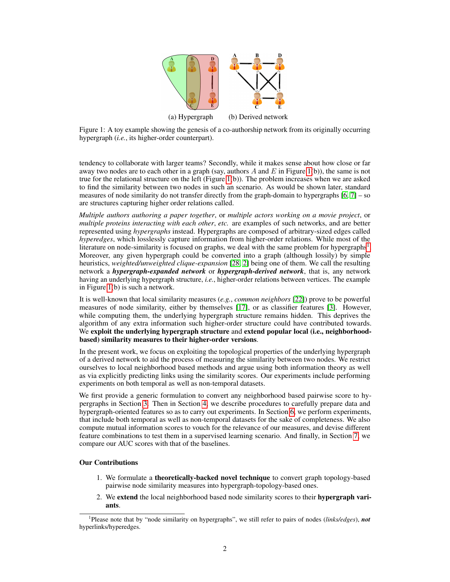

<span id="page-1-0"></span>Figure 1: A toy example showing the genesis of a co-authorship network from its originally occurring hypergraph (*i.e.*, its higher-order counterpart).

tendency to collaborate with larger teams? Secondly, while it makes sense about how close or far away two nodes are to each other in a graph (say, authors A and E in Figure [1\(](#page-1-0)b)), the same is not true for the relational structure on the left (Figure [1\(](#page-1-0)b)). The problem increases when we are asked to find the similarity between two nodes in such an scenario. As would be shown later, standard measures of node similarity do not transfer directly from the graph-domain to hypergraphs [\[6,](#page-13-4) [7\]](#page-13-5) – so are structures capturing higher order relations called.

*Multiple authors authoring a paper together*, or *multiple actors working on a movie project*, or *multiple proteins interacting with each other*, *etc.* are examples of such networks, and are better represented using *hypergraphs* instead. Hypergraphs are composed of arbitrary-sized edges called *hyperedges*, which losslessly capture information from higher-order relations. While most of the literature on node-similarity is focused on graphs, we deal with the same problem for hypergraphs<sup>[1](#page-1-1)</sup>. Moreover, any given hypergraph could be converted into a graph (although lossily) by simple heuristics, *weighted/unweighted clique-expansion* [\[28,](#page-14-1) [2\]](#page-13-6) being one of them. We call the resulting network a *hypergraph-expanded network* or *hypergraph-derived network*, that is, any network having an underlying hypergraph structure, *i.e.*, higher-order relations between vertices. The example in Figure [1\(](#page-1-0)b) is such a network.

It is well-known that local similarity measures (*e.g.*, *common neighbors* [\[22\]](#page-14-2)) prove to be powerful measures of node similarity, either by themselves [\[17\]](#page-14-3), or as classifier features [\[3\]](#page-13-7). However, while computing them, the underlying hypergraph structure remains hidden. This deprives the algorithm of any extra information such higher-order structure could have contributed towards. We exploit the underlying hypergraph structure and extend popular local (i.e., neighborhoodbased) similarity measures to their higher-order versions.

In the present work, we focus on exploiting the topological properties of the underlying hypergraph of a derived network to aid the process of measuring the similarity between two nodes. We restrict ourselves to local neighborhood based methods and argue using both information theory as well as via explicitly predicting links using the similarity scores. Our experiments include performing experiments on both temporal as well as non-temporal datasets.

We first provide a generic formulation to convert any neighborhood based pairwise score to hypergraphs in Section [3.](#page-2-0) Then in Section [4,](#page-5-0) we describe procedures to carefully prepare data and hypergraph-oriented features so as to carry out experiments. In Section [6,](#page-8-0) we perform experiments, that include both temporal as well as non-temporal datasets for the sake of completeness. We also compute mutual information scores to vouch for the relevance of our measures, and devise different feature combinations to test them in a supervised learning scenario. And finally, in Section [7,](#page-9-0) we compare our AUC scores with that of the baselines.

# Our Contributions

- 1. We formulate a theoretically-backed novel technique to convert graph topology-based pairwise node similarity measures into hypergraph-topology-based ones.
- 2. We extend the local neighborhood based node similarity scores to their hypergraph variants.

<span id="page-1-1"></span><sup>1</sup> Please note that by "node similarity on hypergraphs", we still refer to pairs of nodes (*links/edges*), *not* hyperlinks/hyperedges.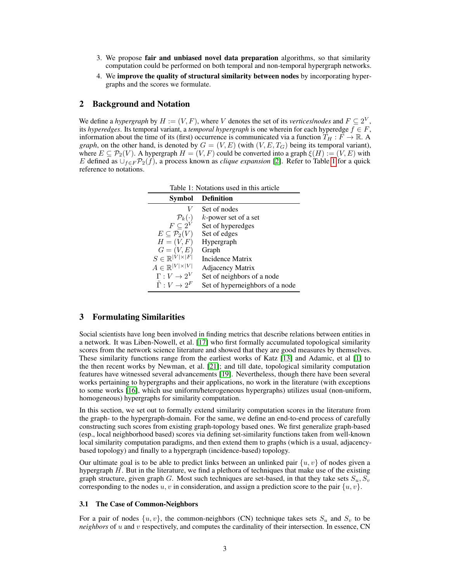- 3. We propose fair and unbiased novel data preparation algorithms, so that similarity computation could be performed on both temporal and non-temporal hypergraph networks.
- 4. We improve the quality of structural similarity between nodes by incorporating hypergraphs and the scores we formulate.

# 2 Background and Notation

<span id="page-2-1"></span>We define a *hypergraph* by  $H := (V, F)$ , where V denotes the set of its *vertices/nodes* and  $F \subseteq 2^V$ , its *hyperedges*. Its temporal variant, a *temporal hypergraph* is one wherein for each hyperedge  $f \in F$ , information about the time of its (first) occurrence is communicated via a function  $T_H : F \to \mathbb{R}$ . A *graph*, on the other hand, is denoted by  $G = (V, E)$  (with  $(V, E, T<sub>G</sub>)$  being its temporal variant), where  $E \subseteq \mathcal{P}_2(V)$ . A hypergraph  $H = (V, F)$  could be converted into a graph  $\xi(H) := (V, E)$  with E defined as  $\bigcup_{f \in F} \mathcal{P}_2(f)$ , a process known as *clique expansion* [\[2\]](#page-13-6). Refer to Table [1](#page-2-1) for a quick reference to notations.

| Symbol                              | <b>Definition</b>               |  |  |
|-------------------------------------|---------------------------------|--|--|
| V                                   | Set of nodes                    |  |  |
| $\mathcal{P}_k(\cdot)$              | $k$ -power set of a set         |  |  |
| $F\subseteq 2^V$                    | Set of hyperedges               |  |  |
| $E\subseteq\mathcal{P}_2(V)$        | Set of edges                    |  |  |
| $H=(V, F)$                          | Hypergraph                      |  |  |
| $G=(V,E)$                           | Graph                           |  |  |
| $S \in \mathbb{R}^{ V  \times  F }$ | Incidence Matrix                |  |  |
| $A \in \mathbb{R}^{ V  \times  V }$ | Adjacency Matrix                |  |  |
| $\Gamma: V \to 2^V$                 | Set of neighbors of a node      |  |  |
| $\tilde{\Gamma}: V \to 2^F$         | Set of hyperneighbors of a node |  |  |

Table 1: Notations used in this article

# <span id="page-2-0"></span>3 Formulating Similarities

Social scientists have long been involved in finding metrics that describe relations between entities in a network. It was Liben-Nowell, et al. [\[17\]](#page-14-3) who first formally accumulated topological similarity scores from the network science literature and showed that they are good measures by themselves. These similarity functions range from the earliest works of Katz [\[13\]](#page-13-8) and Adamic, et al [\[1\]](#page-13-9) to the then recent works by Newman, et al. [\[21\]](#page-14-4); and till date, topological similarity computation features have witnessed several advancements [\[19\]](#page-14-5). Nevertheless, though there have been several works pertaining to hypergraphs and their applications, no work in the literature (with exceptions to some works [\[16\]](#page-13-10), which use uniform/heterogeneous hypergraphs) utilizes usual (non-uniform, homogeneous) hypergraphs for similarity computation.

In this section, we set out to formally extend similarity computation scores in the literature from the graph- to the hypergraph-domain. For the same, we define an end-to-end process of carefully constructing such scores from existing graph-topology based ones. We first generalize graph-based (esp., local neighborhood based) scores via defining set-similarity functions taken from well-known local similarity computation paradigms, and then extend them to graphs (which is a usual, adjacencybased topology) and finally to a hypergraph (incidence-based) topology.

Our ultimate goal is to be able to predict links between an unlinked pair  $\{u, v\}$  of nodes given a hypergraph  $H$ . But in the literature, we find a plethora of techniques that make use of the existing graph structure, given graph G. Most such techniques are set-based, in that they take sets  $S_u, S_v$ corresponding to the nodes u, v in consideration, and assign a prediction score to the pair  $\{u, v\}$ .

#### 3.1 The Case of Common-Neighbors

For a pair of nodes  $\{u, v\}$ , the common-neighbors (CN) technique takes sets  $S_u$  and  $S_v$  to be *neighbors* of u and v respectively, and computes the cardinality of their intersection. In essence, CN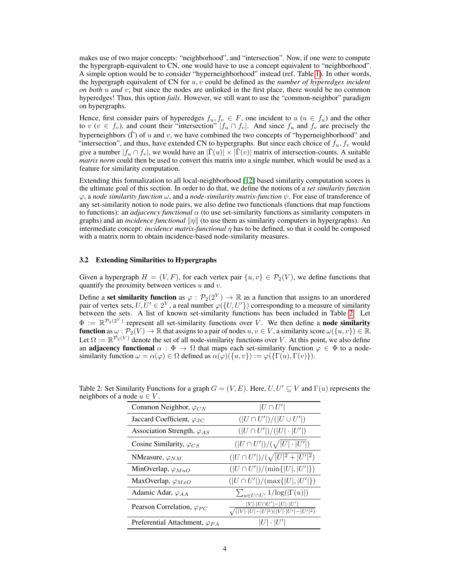makes use of two major concepts: "neighborhood", and "intersection". Now, if one were to compute the hypergraph-equivalent to CN, one would have to use a concept equivalent to "neighborhood". A simple option would be to consider "hyperneighborhood" instead (ref. Table [1\)](#page-2-1). In other words, the hypergraph equivalent of CN for u, v could be defined as the *number of hyperedges incident on both* u *and* v; but since the nodes are unlinked in the first place, there would be no common hyperedges! Thus, this option *fails*. However, we still want to use the "common-neighbor" paradigm on hypergraphs.

Hence, first consider pairs of hyperedges  $f_u, f_v \in F$ , one incident to  $u$  ( $u \in f_u$ ) and the other to v ( $v \in f_v$ ), and count their "intersection"  $|f_u \cap f_v|$ . And since  $f_u$  and  $f_v$  are precisely the hyperneighbors  $(\tilde{\Gamma})$  of u and v, we have combined the two concepts of "hyperneighborhood" and "intersection", and thus, have extended CN to hypergraphs. But since each choice of  $f_u, f_v$  would give a number  $|f_u \cap f_v|$ , we would have an  $|\overline{\Gamma}(u)| \times |\overline{\Gamma}(v)|$  matrix of intersection-counts. A suitable *matrix norm* could then be used to convert this matrix into a single number, which would be used as a feature for similarity computation.

Extending this formalization to all local-neighborhood [\[12\]](#page-13-11) based similarity computation scores is the ultimate goal of this section. In order to do that, we define the notions of a *set similarity function*  $\varphi$ , a *node similarity function*  $\omega$ , and a *node-similarity matrix-function*  $\psi$ . For ease of transference of any set-similarity notion to node pairs, we also define two functionals (functions that map functions to functions): an *adjacency functional*  $\alpha$  (to use set-similarity functions as similarity computers in graphs) and an *incidence functional*  $||\eta||$  (to use them as similarity computers in hypergraphs). An intermediate concept: *incidence matrix-functional* η has to be defined, so that it could be composed with a matrix norm to obtain incidence-based node-similarity measures.

### 3.2 Extending Similarities to Hypergraphs

Given a hypergraph  $H = (V, F)$ , for each vertex pair  $\{u, v\} \in \mathcal{P}_2(V)$ , we define functions that quantify the proximity between vertices  $u$  and  $v$ .

Define a set similarity function as  $\varphi : \mathcal{P}_2(2^V) \to \mathbb{R}$  as a function that assigns to an unordered pair of vertex sets,  $U, U' \in 2^V$ , a real number  $\varphi(\{U, U'\})$  corresponding to a measure of similarity between the sets. A list of known set-similarity functions has been included in Table [2.](#page-3-0) Let  $\Phi := \mathbb{R}^{\mathcal{P}_2(2^V)}$  represent all set-similarity functions over V. We then define a **node similarity function** as  $\omega : \mathcal{P}_2(V) \to \mathbb{R}$  that assigns to a pair of nodes  $u, v \in V$ , a similarity score  $\omega({u, v}) \in \mathbb{R}$ . Let  $\Omega := \mathbb{R}^{\mathcal{P}_2(V)}$  denote the set of all node-similarity functions over V. At this point, we also define an adjacency functional  $\alpha : \Phi \to \Omega$  that maps each set-similarity function  $\varphi \in \Phi$  to a nodesimilarity function  $\omega = \alpha(\varphi) \in \Omega$  defined as  $\alpha(\varphi)(\{u, v\}) := \varphi(\{\Gamma(u), \Gamma(v)\}).$ 

| Common Neighbor, $\varphi_{CN}$         | $ U \cap U' $                                                                                     |
|-----------------------------------------|---------------------------------------------------------------------------------------------------|
| Jaccard Coefficient, $\varphi_{JC}$     | $( U \cap U' )/( U \cup U' )$                                                                     |
| Association Strength, $\varphi_{AS}$    | $( U \cap U' )/( U  \cdot  U' )$                                                                  |
| Cosine Similarity, $\varphi_{CS}$       | $( U \cap U' )/(\sqrt{ U  \cdot  U' })$                                                           |
| NMeasure, $\varphi_{NM}$                | $( U \cap U' )/(\sqrt{ U ^2+ U' ^2})$                                                             |
| MinOverlap, $\varphi_{MnO}$             | $( U \cap U' )/(\min\{ U ,  U' \})$                                                               |
| MaxOverlap, $\varphi_{MxO}$             | $( U \cap U' )/(\max\{ U ,  U' \})$                                                               |
| Adamic Adar, $\varphi_{AA}$             | $\sum_{u\in U\cap U'} 1/\log( \Gamma(u) )$                                                        |
| Pearson Correlation, $\varphi_{PC}$     | $ V {\cdot} U{\cap}U' {-} U {\cdot} U' $<br>$\sqrt{( V \cdot U  -  U ^2)( V \cdot U'  -  U' ^2)}$ |
| Preferential Attachment, $\varphi_{PA}$ | $ U \cdot U' $                                                                                    |

<span id="page-3-0"></span>Table 2: Set Similarity Functions for a graph  $G = (V, E)$ . Here,  $U, U' \subseteq V$  and  $\Gamma(u)$  represents the neighbors of a node  $u \in V$ .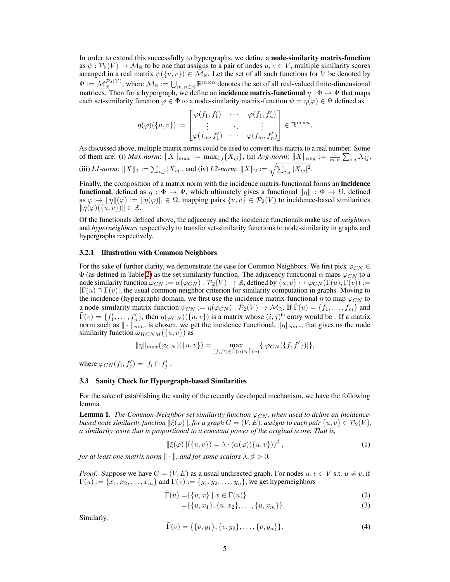In order to extend this successfully to hypergraphs, we define a node-similarity matrix-function as  $\psi : \mathcal{P}_2(V) \to \mathcal{M}_{\mathbb{R}}$  to be one that assigns to a pair of nodes  $u, v \in V$ , multiple similarity scores arranged in a real matrix  $\psi(\{u, v\}) \in \overline{\mathcal{M}}_{\mathbb{R}}$ . Let the set of all such functions for V be denoted by  $\Psi := \mathcal{M}_{\mathbb{R}}^{\mathcal{P}_2(V)}$ , where  $\mathcal{M}_{\mathbb{R}} := \bigcup_{m,n \in \mathbb{N}} \mathbb{R}^{m \times n}$  denotes the set of all real-valued finite-dimensional matrices. Then for a hypergraph, we define an **incidence matrix-functional**  $\eta : \Phi \to \Psi$  that maps each set-similarity function  $\varphi \in \Phi$  to a node-similarity matrix-function  $\psi = \eta(\varphi) \in \Psi$  defined as

$$
\eta(\varphi)(\{u,v\}) := \begin{bmatrix} \varphi(f_1, f_1') & \cdots & \varphi(f_1, f_n') \\ \vdots & \ddots & \vdots \\ \varphi(f_m, f_1') & \cdots & \varphi(f_m, f_n') \end{bmatrix} \in \mathbb{R}^{m \times n},
$$

As discussed above, multiple matrix norms could be used to convert this matrix to a real number. Some of them are: (i) *Max-norm*:  $||X||_{max} := \max_{i,j} \{X_{ij}\},$  (ii) *Avg-norm*:  $||X||_{avg} := \frac{1}{m \cdot n} \sum_{i,j} X_{ij},$ (iii) *L1-norm*:  $||X||_1 := \sum_{i,j} |X_{ij}|$ , and (iv) *L2-norm*:  $||X||_2 := \sqrt{\sum_{i,j} |X_{ij}|^2}$ .

Finally, the composition of a matrix norm with the incidence matrix-functional forms an **incidence functional,** defined as  $\eta : \Phi \to \Psi$ , which ultimately gives a functional  $\|\eta\| : \Phi \to \Omega$ , defined as  $\varphi \mapsto ||\eta||(\varphi) := ||\eta(\varphi)|| \in \Omega$ , mapping pairs  $\{u, v\} \in \mathcal{P}_2(V)$  to incidence-based similarities  $\|\eta(\varphi)(\{u, v\})\| \in \mathbb{R}$ .

Of the functionals defined above, the adjacency and the incidence functionals make use of *neighbors* and *hyperneighbors* respectively to transfer set-similarity functions to node-similarity in graphs and hypergraphs respectively.

#### 3.2.1 Illustration with Common Neighbors

For the sake of further clarity, we demonstrate the case for Common Neighbors. We first pick  $\varphi_{CN} \in$  $\Phi$  (as defined in Table [2\)](#page-3-0) as the set similarity function. The adjacency functional  $\alpha$  maps  $\varphi_{CN}$  to a node similarity function  $\omega_{CN} := \alpha(\varphi_{CN}) : \mathcal{P}_2(V) \to \mathbb{R}$ , defined by  $\{u, v\} \mapsto \varphi_{CN}(\Gamma(u), \Gamma(v)) :=$  $|\Gamma(u) \cap \Gamma(v)|$ , the usual common-neighbor criterion for similarity computation in graphs. Moving to the incidence (hypergraph) domain, we first use the incidence matrix-functional  $\eta$  to map  $\varphi_{CN}$  to a node-similarity matrix-function  $\psi_{CN} := \eta(\varphi_{CN}) : \mathcal{P}_2(V) \to \mathcal{M}_{\mathbb{R}}$ . If  $\Gamma(u) = \{f_1, \ldots, f_m\}$  and  $\tilde{\Gamma}(v) = \{f'_1, \ldots, f'_n\}$ , then  $\eta(\varphi_{CN})(\{u, v\})$  is a matrix whose  $(i, j)$ <sup>th</sup> entry would be. If a matrix norm such as  $\|\cdot\|_{max}$  is chosen, we get the incidence functional,  $\|\eta\|_{max}$ , that gives us the node similarity function  $\omega_{HCNM}(\{u, v\})$  as

$$
\|\eta\|_{max}(\varphi_{CN})(\{u,v\}) = \max_{(f,f')\in\tilde{\Gamma}(u)\times\tilde{\Gamma}(v)}\{|\varphi_{CN}(\{f,f'\})|\},\
$$

where  $\varphi_{CN}(f_i, f'_j) = |f_i \cap f'_j|.$ 

#### 3.3 Sanity Check for Hypergraph-based Similarities

For the sake of establishing the sanity of the recently developed mechanism, we have the following lemma.

**Lemma 1.** The Common-Neighbor set similarity function  $\varphi_{CN}$ , when used to define an incidence*based node similarity function*  $\|\xi(\varphi)\|$ *, for a graph*  $G = (V, E)$ *, assigns to each pair*  $\{u, v\} \in \mathcal{P}_2(V)$ *, a similarity score that is proportional to a constant power of the original score. That is,*

$$
\|\xi(\varphi)\|(\{u,v\}) = \lambda \cdot (\alpha(\varphi)(\{u,v\}))^{\beta},\tag{1}
$$

*for at least one matrix norm*  $\|\cdot\|$ *, and for some scalars*  $\lambda, \beta > 0$ *.* 

*Proof.* Suppose we have  $G = (V, E)$  as a usual undirected graph. For nodes  $u, v \in V$  s.t.  $u \neq v$ , if  $\Gamma(u) := \{x_1, x_2, \ldots, x_m\}$  and  $\Gamma(v) := \{y_1, y_2, \ldots, y_n\}$ , we get hyperneighbors

$$
\tilde{\Gamma}(u) = \{ \{u, x\} \mid x \in \Gamma(u) \}
$$
\n<sup>(2)</sup>

$$
= \{ \{u, x_1\}, \{u, x_2\}, \dots, \{u, x_m\} \}.
$$
 (3)

Similarly,

$$
\tilde{\Gamma}(v) = \{\{v, y_1\}, \{v, y_2\}, \dots, \{v, y_n\}\}.
$$
\n(4)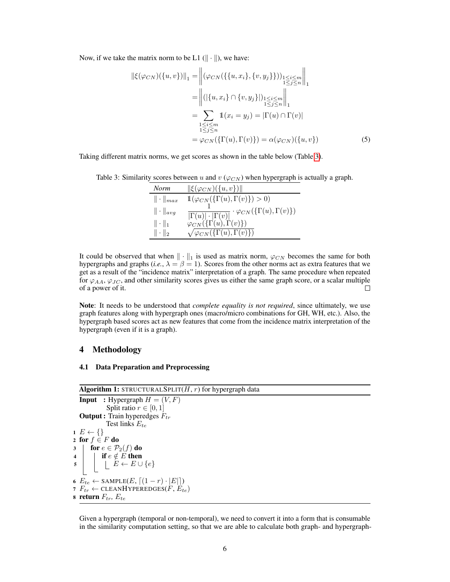Now, if we take the matrix norm to be L1  $(\|\cdot\|)$ , we have:

$$
\|\xi(\varphi_{CN})(\{u,v\})\|_1 = \left\|(\varphi_{CN}(\{\{u,x_i\},\{v,y_j\}\}))_{\substack{1 \le i \le m \\ 1 \le j \le n}}\right\|_1
$$
  
\n
$$
= \left\| (\{\{u,x_i\} \cap \{v,y_j\}\})_{\substack{1 \le i \le m \\ 1 \le j \le n}}\right\|_1
$$
  
\n
$$
= \sum_{\substack{1 \le i \le m \\ 1 \le j \le n}} 1(x_i = y_j) = |\Gamma(u) \cap \Gamma(v)|
$$
  
\n
$$
= \varphi_{CN}(\{\Gamma(u),\Gamma(v)\}) = \alpha(\varphi_{CN})(\{u,v\})
$$
 (5)

<span id="page-5-1"></span>Taking different matrix norms, we get scores as shown in the table below (Table [3\)](#page-5-1).

Table 3: Similarity scores between u and  $v$  ( $\varphi_{CN}$ ) when hypergraph is actually a graph.

| Norm              | $\ \xi(\varphi_{CN})(\{u,v\})\ $                                                                                           |
|-------------------|----------------------------------------------------------------------------------------------------------------------------|
| $\ \cdot\ _{max}$ | $\mathbb{1}(\varphi_{CN}(\{\Gamma(u),\Gamma(v)\})>0)$                                                                      |
| $\ \cdot\ _{avg}$ | $\frac{1}{ \Gamma(u) \cdot  \Gamma(v) }\cdot \varphi_{CN}(\{\Gamma(u),\Gamma(v)\})\ \varphi_{CN}(\{\Gamma(u),\Gamma(v)\})$ |
| $\ \cdot\ _1$     |                                                                                                                            |
| $\ \cdot\ _2$     | $\sqrt{\varphi_{CN}(\{\Gamma(u),\Gamma(v)\})}$                                                                             |

It could be observed that when  $\|\cdot\|_1$  is used as matrix norm,  $\varphi_{CN}$  becomes the same for both hypergraphs and graphs (*i.e.*,  $\lambda = \beta = 1$ ). Scores from the other norms act as extra features that we get as a result of the "incidence matrix" interpretation of a graph. The same procedure when repeated for  $\varphi_{AA}$ ,  $\varphi_{JC}$ , and other similarity scores gives us either the same graph score, or a scalar multiple of a power of it. П

Note: It needs to be understood that *complete equality is not required*, since ultimately, we use graph features along with hypergraph ones (macro/micro combinations for GH, WH, etc.). Also, the hypergraph based scores act as new features that come from the incidence matrix interpretation of the hypergraph (even if it is a graph).

# <span id="page-5-0"></span>4 Methodology

#### <span id="page-5-3"></span>4.1 Data Preparation and Preprocessing

```
Algorithm 1: STRUCTURALSPLIT(H, r) for hypergraph data
  Input : Hypergraph H = (V, F)Split ratio r \in [0, 1]Output : Train hyperedges F_{tr}Test links E_{te}1 E \leftarrow \{\}2 for f \in F do
3 for e \in \mathcal{P}_2(f) do
4 \vert if e \notin E then
 \begin{array}{c|c|c|c} 5 & | & | & E \leftarrow E \cup \{e\} \end{array}6 E_{te} \leftarrow \text{SAMPLE}(E, \lceil (1 - r) \cdot |E| \rceil)7 F_{tr} \leftarrow \text{CLEANHYPEREDGES}(F, E_{te})8 return F_{tr}, E_{te}
```
Given a hypergraph (temporal or non-temporal), we need to convert it into a form that is consumable in the similarity computation setting, so that we are able to calculate both graph- and hypergraph-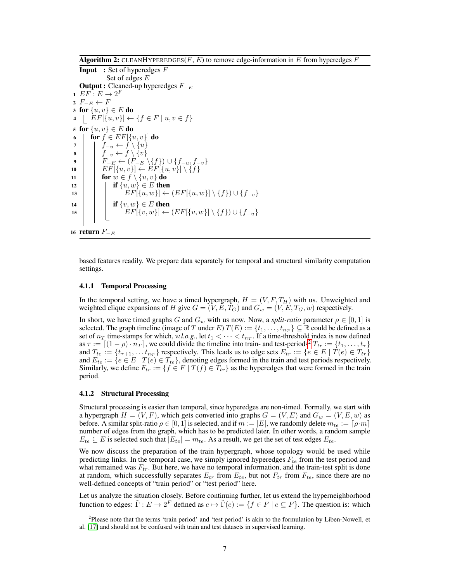**Algorithm 2:** CLEANHYPEREDGES( $F, E$ ) to remove edge-information in  $E$  from hyperedges  $F$ 

```
Input : Set of hyperedges FSet of edges E
    Output : Cleaned-up hyperedges F_{−E}1 EF: E \rightarrow 2^F2 F_{-E} \leftarrow F3 for \{u, v\} \in E do
 4 \left[ EF[\{u, v\}] \leftarrow \{f \in F \mid u, v \in f\}5 for \{u, v\} \in E do
 6 for f \in EF[\{u, v\}] do
 7 | f_{-u} \leftarrow f \setminus \{u\}8 | f_{-v} \leftarrow f \setminus \{v\}9 \vert \quad \vert \quad F_{-E} \leftarrow (F_{-E} \setminus \{f\}) \cup \{f_{-u}, f_{-v}\}10 \left[\begin{array}{c}E\left[\{u,v\}\right]\leftarrow EF[\{u,v\}]\setminus\{f\}\end{array}\right]11 \vert for w \in f \setminus \{u, v\} do
12 \vert \quad \vert \quad if \{u, w\} \in E then
13 \Big| \Big| \Big| \Big| \Big| \Big| \Big| \Big| \Big| \Big| \Big\{ H\Big\{ \Big\} \Big\} \Big\{ \Big\{ \Big\} \Big\{ \Big\} \Big\{ \Big\} \Big\{ \Big\} \Big\{ \Big\} \Big\{ \Big\} \Big\{ \Big\} \Big\{ \Big\} \Big\{ 14 \vert if \{v,w\} \in E then
 15 \vert \vert \vert \vert EF[\lbrace v,w \rbrace] \leftarrow (EF[\lbrace v,w \rbrace] \setminus \lbrace f \rbrace) \cup \lbrace f_{-u} \rbrace16 return F_{-E}
```
based features readily. We prepare data separately for temporal and structural similarity computation settings.

#### 4.1.1 Temporal Processing

In the temporal setting, we have a timed hypergraph,  $H = (V, F, T_H)$  with us. Unweighted and weighted clique expansions of H give  $G = (V, E, T_G)$  and  $G_w = (V, E, T_G, w)$  respectively.

In short, we have timed graphs G and  $G_w$  with us now. Now, a *split-ratio* parameter  $\rho \in [0,1]$  is selected. The graph timeline (image of T under E)  $T(E) := \{t_1, \ldots, t_{n_T}\} \subseteq \mathbb{R}$  could be defined as a set of  $n_T$  time-stamps for which, *w.l.o.g.*, let  $t_1 < \cdots < t_{n_T}$ . If a time-threshold index is now defined as  $\tau := \left[ (1 - \rho) \cdot n_T \right]$ , we could divide the timeline into train- and test-periods<sup>[2](#page-6-0)</sup>  $T_{tr} := \{t_1, \ldots, t_\tau\}$ and  $T_{te} := \{t_{\tau+1}, \ldots t_{n_T}\}$  respectively. This leads us to edge sets  $E_{tr} := \{e \in E \mid T(e) \in T_{tr}\}\$ and  $E_{te} := \{e \in E \mid T(e) \in T_{te}\}$ , denoting edges formed in the train and test periods respectively. Similarly, we define  $F_{tr} := \{f \in F \mid T(f) \in T_{tr}\}\$ as the hyperedges that were formed in the train period.

#### 4.1.2 Structural Processing

Structural processing is easier than temporal, since hyperedges are non-timed. Formally, we start with a hypergraph  $H = (V, F)$ , which gets converted into graphs  $G = (V, E)$  and  $G_w = (V, E, w)$  as before. A similar split-ratio  $\rho \in [0, 1]$  is selected, and if  $m := |E|$ , we randomly delete  $m_{te} := [\rho \cdot m]$ number of edges from the graph, which has to be predicted later. In other words, a random sample  $E_{te} \subseteq E$  is selected such that  $|E_{te}| = m_{te}$ . As a result, we get the set of test edges  $E_{te}$ .

We now discuss the preparation of the train hypergraph, whose topology would be used while predicting links. In the temporal case, we simply ignored hyperedges  $F_{te}$  from the test period and what remained was  $F_{tr}$ . But here, we have no temporal information, and the train-test split is done at random, which successfully separates  $E_{tr}$  from  $E_{te}$ , but not  $F_{tr}$  from  $F_{te}$ , since there are no well-defined concepts of "train period" or "test period" here.

Let us analyze the situation closely. Before continuing further, let us extend the hyperneighborhood function to edges:  $\tilde{\Gamma}: E \to 2^F$  defined as  $e \mapsto \tilde{\Gamma}(e) := \{f \in F \mid e \subseteq F\}$ . The question is: which

<span id="page-6-0"></span><sup>&</sup>lt;sup>2</sup>Please note that the terms 'train period' and 'test period' is akin to the formulation by Liben-Nowell, et al. [\[17\]](#page-14-3) and should not be confused with train and test datasets in supervised learning.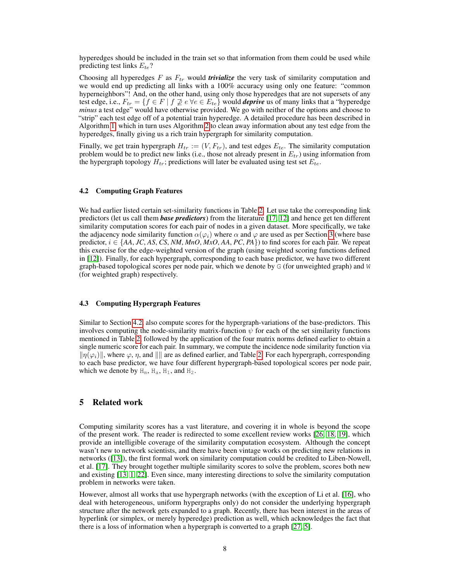hyperedges should be included in the train set so that information from them could be used while predicting test links  $E_{te}$ ?

Choosing all hyperedges  $F$  as  $F_{tr}$  would *trivialize* the very task of similarity computation and we would end up predicting all links with a 100% accuracy using only one feature: "common hyperneighbors"! And, on the other hand, using only those hyperedges that are not supersets of any test edge, i.e.,  $F_{tr} = \{f \in F \mid f \not\supseteq e \; \forall e \in E_{te}\}\$  would *deprive* us of many links that a "hyperedge" *minus* a test edge" would have otherwise provided. We go with neither of the options and choose to "strip" each test edge off of a potential train hyperedge. A detailed procedure has been described in Algorithm [1,](#page-5-2) which in turn uses Algorithm [2](#page-6-1) to clean away information about any test edge from the hyperedges, finally giving us a rich train hypergraph for similarity computation.

Finally, we get train hypergraph  $H_{tr} := (V, F_{tr})$ , and test edges  $E_{te}$ . The similarity computation problem would be to predict new links (i.e., those not already present in  $E_{tr}$ ) using information from the hypergraph topology  $H_{tr}$ ; predictions will later be evaluated using test set  $E_{te}$ .

#### <span id="page-7-0"></span>4.2 Computing Graph Features

We had earlier listed certain set-similarity functions in Table [2.](#page-3-0) Let use take the corresponding link predictors (let us call them *base predictors*) from the literature [\[17,](#page-14-3) [12\]](#page-13-11) and hence get ten different similarity computation scores for each pair of nodes in a given dataset. More specifically, we take the adjacency node similarity function  $\alpha(\varphi_i)$  where  $\alpha$  and  $\varphi$  are used as per Section [3](#page-2-0) (where base predictor,  $i \in \{AA, JC, AS, CS, NM, MnO, MxO, AA, PC, PA\}$  to find scores for each pair. We repeat this exercise for the edge-weighted version of the graph (using weighted scoring functions defined in [\[12\]](#page-13-11)). Finally, for each hypergraph, corresponding to each base predictor, we have two different graph-based topological scores per node pair, which we denote by G (for unweighted graph) and W (for weighted graph) respectively.

#### <span id="page-7-1"></span>4.3 Computing Hypergraph Features

Similar to Section [4.2,](#page-7-0) also compute scores for the hypergraph-variations of the base-predictors. This involves computing the node-similarity matrix-function  $\psi$  for each of the set similarity functions mentioned in Table [2,](#page-3-0) followed by the application of the four matrix norms defined earlier to obtain a single numeric score for each pair. In summary, we compute the incidence node similarity function via  $\|\eta(\varphi_i)\|$ , where  $\varphi$ ,  $\eta$ , and  $\|\|$  are as defined earlier, and Table [2.](#page-3-0) For each hypergraph, corresponding to each base predictor, we have four different hypergraph-based topological scores per node pair, which we denote by  $H_m$ ,  $H_a$ ,  $H_1$ , and  $H_2$ .

# 5 Related work

Computing similarity scores has a vast literature, and covering it in whole is beyond the scope of the present work. The reader is redirected to some excellent review works [\[26,](#page-14-6) [18,](#page-14-7) [19\]](#page-14-5), which provide an intelligible coverage of the similarity computation ecosystem. Although the concept wasn't new to network scientists, and there have been vintage works on predicting new relations in networks ([\[13\]](#page-13-8)), the first formal work on similarity computation could be credited to Liben-Nowell, et al. [\[17\]](#page-14-3). They brought together multiple similarity scores to solve the problem, scores both new and existing [\[13,](#page-13-8) [1,](#page-13-9) [22\]](#page-14-2). Even since, many interesting directions to solve the similarity computation problem in networks were taken.

However, almost all works that use hypergraph networks (with the exception of Li et al. [\[16\]](#page-13-10), who deal with heterogeneous, uniform hypergraphs only) do not consider the underlying hypergraph structure after the network gets expanded to a graph. Recently, there has been interest in the areas of hyperlink (or simplex, or merely hyperedge) prediction as well, which acknowledges the fact that there is a loss of information when a hypergraph is converted to a graph [\[27,](#page-14-8) [5\]](#page-13-12).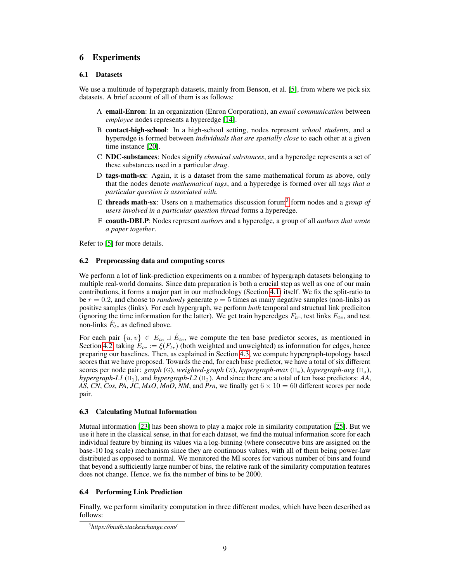# <span id="page-8-0"></span>6 Experiments

### <span id="page-8-4"></span>6.1 Datasets

We use a multitude of hypergraph datasets, mainly from Benson, et al. [\[5\]](#page-13-12), from where we pick six datasets. A brief account of all of them is as follows:

- A email-Enron: In an organization (Enron Corporation), an *email communication* between *employee* nodes represents a hyperedge [\[14\]](#page-13-13).
- B contact-high-school: In a high-school setting, nodes represent *school students*, and a hyperedge is formed between *individuals that are spatially close* to each other at a given time instance [\[20\]](#page-14-9).
- C NDC-substances: Nodes signify *chemical substances*, and a hyperedge represents a set of these substances used in a particular *drug*.
- D tags-math-sx: Again, it is a dataset from the same mathematical forum as above, only that the nodes denote *mathematical tags*, and a hyperedge is formed over all *tags that a particular question is associated with*.
- E **threads math-sx**: Users on a mathematics discussion forum<sup>[3](#page-8-1)</sup> form nodes and a *group of users involved in a particular question thread* forms a hyperedge.
- F coauth-DBLP: Nodes represent *authors* and a hyperedge, a group of all *authors that wrote a paper together*.

Refer to [\[5\]](#page-13-12) for more details.

#### <span id="page-8-2"></span>6.2 Preprocessing data and computing scores

We perform a lot of link-prediction experiments on a number of hypergraph datasets belonging to multiple real-world domains. Since data preparation is both a crucial step as well as one of our main contributions, it forms a major part in our methodology (Section [4.1\)](#page-5-3) itself. We fix the split-ratio to be  $r = 0.2$ , and choose to *randomly* generate  $p = 5$  times as many negative samples (non-links) as positive samples (links). For each hypergraph, we perform *both* temporal and structual link prediciton (ignoring the time information for the latter). We get train hyperedges  $F_{tr}$ , test links  $E_{te}$ , and test non-links  $\hat{E}_{te}$  as defined above.

For each pair  $\{u, v\} \in E_{te} \cup \hat{E}_{te}$ , we compute the ten base predictor scores, as mentioned in Section [4.2,](#page-7-0) taking  $E_{tr} := \xi(F_{tr})$  (both weighted and unweighted) as information for edges, hence preparing our baselines. Then, as explained in Section [4.3,](#page-7-1) we compute hypergraph-topology based scores that we have proposed. Towards the end, for each base predictor, we have a total of six different scores per node pair: *graph* (G), *weighted-graph* (W), *hypergraph-max* (H<sub>m</sub>), *hypergraph-avg* (H<sub>a</sub>), *hypergraph-L1* ( $H_1$ ), and *hypergraph-L2* ( $H_2$ ). And since there are a total of ten base predictors: *AA*, *AS*, *CN*, *Cos*, *PA*, *JC*, *MxO*, *MnO*, *NM*, and *Prn*, we finally get  $6 \times 10 = 60$  different scores per node pair.

# 6.3 Calculating Mutual Information

Mutual information [\[23\]](#page-14-10) has been shown to play a major role in similarity computation [\[25\]](#page-14-11). But we use it here in the classical sense, in that for each dataset, we find the mutual information score for each individual feature by binning its values via a log-binning (where consecutive bins are assigned on the base-10 log scale) mechanism since they are continuous values, with all of them being power-law distributed as opposed to normal. We monitored the MI scores for various number of bins and found that beyond a sufficiently large number of bins, the relative rank of the similarity computation features does not change. Hence, we fix the number of bins to be 2000.

# <span id="page-8-3"></span>6.4 Performing Link Prediction

Finally, we perform similarity computation in three different modes, which have been described as follows:

<span id="page-8-1"></span><sup>3</sup> *https://math.stackexchange.com/*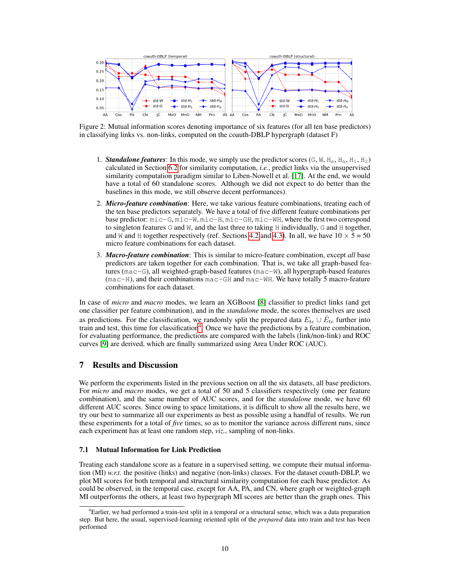

Figure 2: Mutual information scores denoting importance of six features (for all ten base predictors) in classifying links vs. non-links, computed on the coauth-DBLP hypergraph (dataset F)

- 1. **Standalone features**: In this mode, we simply use the predictor scores  $(G, W, H_m, H_a, H_1, H_2)$ calculated in Section [6.2](#page-8-2) for similarity computation, *i.e.*, predict links via the unsupervised similarity computation paradigm similar to Liben-Nowell et al. [\[17\]](#page-14-3). At the end, we would have a total of 60 standalone scores. Although we did not expect to do better than the baselines in this mode, we still observe decent performances).
- 2. *Micro-feature combination*: Here, we take various feature combinations, treating each of the ten base predictors separately. We have a total of five different feature combinations per base predictor: mic-G, mic-W, mic-H, mic-GH, mic-WH, where the first two correspond to singleton features  $G$  and  $W$ , and the last three to taking  $H$  individually,  $G$  and  $H$  together, and W and H together respectively (ref. Sections [4.2](#page-7-0) and [4.3\)](#page-7-1). In all, we have  $10 \times 5 = 50$ micro feature combinations for each dataset.
- 3. *Macro-feature combination*: This is similar to micro-feature combination, except *all* base predictors are taken together for each combination. That is, we take all graph-based features ( $mac-G$ ), all weighted-graph-based features ( $mac-W$ ), all hypergraph-based features (mac-H), and their combinations mac-GH and mac-WH. We have totally 5 macro-feature combinations for each dataset.

In case of *micro* and *macro* modes, we learn an XGBoost [\[8\]](#page-13-14) classifier to predict links (and get one classifier per feature combination), and in the *standalone* mode, the scores themselves are used as predictions. For the classification, we randomly split the prepared data  $E_{te} \cup \hat{E}_{te}$  further into train and test, this time for classification<sup>[4](#page-9-1)</sup>. Once we have the predictions by a feature combination, for evaluating performance, the predictions are compared with the labels (link/non-link) and ROC curves [\[9\]](#page-13-15) are derived, which are finally summarized using Area Under ROC (AUC).

# <span id="page-9-0"></span>7 Results and Discussion

We perform the experiments listed in the previous section on all the six datasets, all base predictors. For *micro* and *macro* modes, we get a total of 50 and 5 classifiers respectively (one per feature combination), and the same number of AUC scores, and for the *standalone* mode, we have 60 different AUC scores. Since owing to space limitations, it is difficult to show all the results here, we try our best to summarize all our experiments as best as possible using a handful of results. We run these experiments for a total of *five* times, so as to monitor the variance across different runs, since each experiment has at least one random step, *viz.*, sampling of non-links.

# 7.1 Mutual Information for Link Prediction

Treating each standalone score as a feature in a supervised setting, we compute their mutual information (MI) *w.r.t.* the positive (links) and negative (non-links) classes. For the dataset coauth-DBLP, we plot MI scores for both temporal and structural similarity computation for each base predictor. As could be observed, in the temporal case, except for AA, PA, and CN, where graph or weighted-graph MI outperforms the others, at least two hypergraph MI scores are better than the graph ones. This

<span id="page-9-1"></span><sup>&</sup>lt;sup>4</sup>Earlier, we had performed a train-test split in a temporal or a structural sense, which was a data preparation step. But here, the usual, supervised-learning oriented split of the *prepared* data into train and test has been performed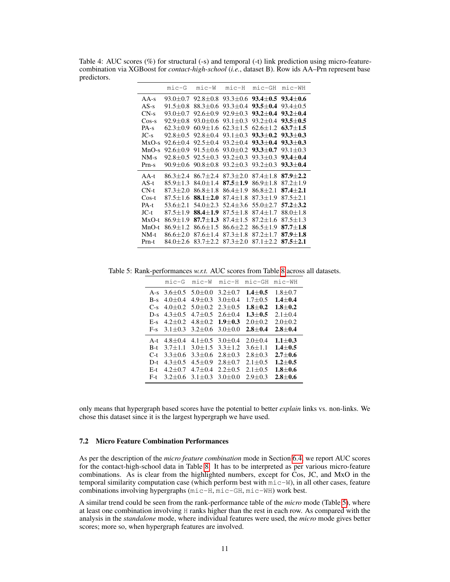Table 4: AUC scores (%) for structural (-s) and temporal (-t) link prediction using micro-featurecombination via XGBoost for *contact-high-school* (*i.e.*, dataset B). Row ids AA–Prn represent base predictors.

|          | $minc-G$       | $mic-W$        | $mic-H$        | $mic-GH$       | mic-WH         |
|----------|----------------|----------------|----------------|----------------|----------------|
| $AA-s$   | $93.0 \pm 0.7$ | $92.8 \pm 0.8$ | $93.3 + 0.6$   | $93.4 + 0.5$   | $93.4 + 0.6$   |
| $AS-s$   | $91.5 \pm 0.8$ | $88.3 \pm 0.6$ | $93.3 + 0.4$   | $93.5 + 0.4$   | $93.4 \pm 0.5$ |
| $CN-s$   | $93.0 + 0.7$   | $92.6 + 0.9$   | $92.9 + 0.3$   | $93.2 + 0.4$   | $93.2 + 0.4$   |
| $Cos-s$  | $92.9 \pm 0.8$ | $93.0 \pm 0.6$ | $93.1 + 0.3$   | $93.2 + 0.4$   | $93.5 + 0.5$   |
| $PA-S$   | $62.3 + 0.9$   | $60.9 + 1.6$   | $62.3 + 1.5$   | $62.6 + 1.2$   | $63.7 + 1.5$   |
| $JC-s$   | $92.8 + 0.5$   | $92.8 + 0.4$   | $93.1 + 0.3$   | $93.3 + 0.2$   | $93.3 + 0.3$   |
| $MxO-s$  | $92.6 + 0.4$   | $92.5 + 0.4$   | $93.2 + 0.4$   | $93.3 + 0.4$   | $93.3 + 0.3$   |
| $MnO-s$  | $92.6 + 0.9$   | $91.5 + 0.6$   | $93.0 + 0.2$   | $93.3 + 0.7$   | $93.1 + 0.3$   |
| $NM-s$   | $92.8 + 0.5$   | $92.5 \pm 0.3$ | $93.2 + 0.3$   | $93.3 + 0.3$   | $93.4 \pm 0.4$ |
| $Prn-s$  | $90.9 + 0.6$   | $90.8 \pm 0.8$ | $93.2 + 0.3$   | $93.2 + 0.3$   | $93.3 \pm 0.4$ |
| $AA-t$   | $86.3 + 2.4$   | $86.7 + 2.4$   | $87.3 \pm 2.0$ | $87.4 + 1.8$   | $87.9 + 2.2$   |
| $AS-t$   | $85.9 + 1.3$   | $84.0 + 1.4$   | $87.5 + 1.9$   | $86.9 + 1.8$   | $87.2 + 1.9$   |
| $CN-t$   | $87.3 + 2.0$   | $86.8 + 1.8$   | $86.4 + 1.9$   | $86.8 + 2.1$   | $87.4 + 2.1$   |
| $\cos-t$ | $87.5 + 1.6$   | $88.1 + 2.0$   | $87.4 + 1.8$   | $87.3 + 1.9$   | $87.5 \pm 2.1$ |
| $PA-t$   | $53.6 + 2.1$   | $54.0 + 2.3$   | $52.4 + 3.6$   | $55.0 + 2.7$   | $57.2 + 3.2$   |
| $JC-t$   | $87.5 \pm 1.9$ | 88.4 $\pm 1.9$ | $87.5 \pm 1.8$ | $87.4 \pm 1.7$ | $88.0 \pm 1.8$ |
| $MxO-t$  | $86.9 + 1.9$   | $87.7 + 1.3$   | $87.4 + 1.5$   | $87.2 + 1.6$   | $87.5 + 1.3$   |
| $MnO-t$  | $86.9 \pm 1.2$ | $86.6 + 1.5$   | $86.6 + 2.2$   | $86.5 + 1.9$   | $87.7 + 1.8$   |
| NM-t     | $86.6 \pm 2.0$ | $87.6 \pm 1.4$ | $87.3 \pm 1.8$ | $87.2 \pm 1.7$ | $87.9 \pm 1.8$ |
| Prn-t    | $84.0 + 2.6$   | $83.7 \pm 2.2$ | $87.3 + 2.0$   | $87.1 + 2.2$   | $87.5 + 2.1$   |

<span id="page-10-0"></span>Table 5: Rank-performances *w.r.t.* AUC scores from Table [8](#page-12-0) across all datasets.

|       | $minc-G$      | mic-W       | mic-H       | $minc-GH$   | mic-WH        |
|-------|---------------|-------------|-------------|-------------|---------------|
| $A-s$ | $3.6 \pm 0.5$ | $5.0 + 0.0$ | $3.2 + 0.7$ | $1.4 + 0.5$ | $1.8 \pm 0.7$ |
| $B-s$ | $4.0 + 0.4$   | $4.9 + 0.3$ | $3.0 + 0.4$ | $1.7 + 0.5$ | $1.4 + 0.4$   |
| $C-s$ | $4.0 + 0.2$   | $5.0 + 0.2$ | $2.3 + 0.5$ | $1.8 + 0.2$ | $1.8 + 0.2$   |
| $D-s$ | $4.3 + 0.5$   | $4.7 + 0.5$ | $2.6 + 0.4$ | $1.3 + 0.5$ | $2.1 + 0.4$   |
| $E-S$ | $4.2 + 0.2$   | $4.8 + 0.2$ | $1.9 + 0.3$ | $2.0 + 0.2$ | $2.0 + 0.2$   |
| $F-S$ | $3.1 + 0.3$   | $3.2 + 0.6$ | $3.0 + 0.0$ | $2.8 + 0.4$ | $2.8 + 0.4$   |
| $A-t$ | $4.8 + 0.4$   | $4.1 + 0.5$ | $3.0 + 0.4$ | $2.0 + 0.4$ | $1.1 + 0.3$   |
| $B-t$ | $3.7 + 1.1$   | $3.0 + 1.5$ | $3.3 + 1.2$ | $3.6 + 1.1$ | $1.4 + 0.5$   |
| $C-t$ | $3.3 \pm 0.6$ | $3.3 + 0.6$ | $2.8 + 0.3$ | $2.8 + 0.3$ | $2.7 + 0.6$   |
| $D-t$ | $4.3 + 0.5$   | $4.5 + 0.9$ | $2.8 + 0.7$ | $2.1 + 0.5$ | $1.2 + 0.5$   |
| $E-t$ | $4.2 + 0.7$   | $4.7 + 0.4$ | $2.2 + 0.5$ | $2.1 + 0.5$ | $1.8 + 0.6$   |
| $F-t$ | $3.2 + 0.6$   | $3.1 + 0.3$ | $3.0 + 0.0$ | $2.9 + 0.3$ | $2.8 + 0.6$   |

only means that hypergraph based scores have the potential to better *explain* links vs. non-links. We chose this dataset since it is the largest hypergraph we have used.

# 7.2 Micro Feature Combination Performances

As per the description of the *micro feature combination* mode in Section [6.4,](#page-8-3) we report AUC scores for the contact-high-school data in Table [8.](#page-12-0) It has to be interpreted as per various micro-feature combinations. As is clear from the highlighted numbers, except for Cos, JC, and MxO in the temporal similarity computation case (which perform best with  $m$   $\epsilon$ –W), in all other cases, feature combinations involving hypergraphs (mic-H, mic-GH, mic-WH) work best.

A similar trend could be seen from the rank-performance table of the *micro* mode (Table [5\)](#page-10-0), where at least one combination involving H ranks higher than the rest in each row. As compared with the analysis in the *standalone* mode, where individual features were used, the *micro* mode gives better scores; more so, when hypergraph features are involved.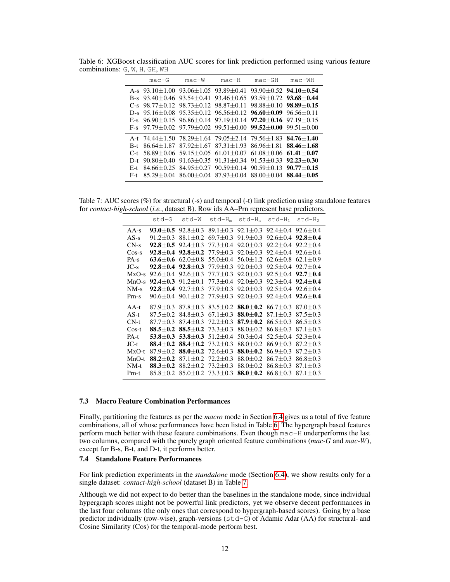|                                         | $mac-G$                                                                                                                                                                                                  | $mac-W$                                                                                                                                                                                                                                                                                                           | $mac-H$                                                                           | $mac-GH$                      | $mac-WH$ |
|-----------------------------------------|----------------------------------------------------------------------------------------------------------------------------------------------------------------------------------------------------------|-------------------------------------------------------------------------------------------------------------------------------------------------------------------------------------------------------------------------------------------------------------------------------------------------------------------|-----------------------------------------------------------------------------------|-------------------------------|----------|
| $B-S$                                   | A-s $93.10 \pm 1.00$ $93.06 \pm 1.05$ $93.89 \pm 0.41$ $93.90 \pm 0.52$ $94.10 \pm 0.54$<br>$93.40 + 0.46$                                                                                               |                                                                                                                                                                                                                                                                                                                   | 93.54 $\pm$ 0.41 93.46 $\pm$ 0.65 93.59 $\pm$ 0.72 <b>93.68</b> $\pm$ <b>0.44</b> |                               |          |
|                                         | $C-s$ 98.77+0.12<br>$D-s$ 95.16+0.08<br>E-s $96.90+0.15$ $96.86+0.14$ $97.19+0.14$ $97.20+0.16$ $97.19+0.15$<br>F-s $97.79 \pm 0.02$ $97.79 \pm 0.02$ $99.51 \pm 0.00$ $99.52 \pm 0.00$ $99.51 \pm 0.00$ | $98.73 \pm 0.12$ $98.87 \pm 0.11$<br>$95.35 \pm 0.12$ $96.56 \pm 0.12$ $96.60 \pm 0.09$ $96.56 \pm 0.11$                                                                                                                                                                                                          |                                                                                   | $98.88 + 0.10$ $98.89 + 0.15$ |          |
| $B-t$<br>$C-t$<br>$D-t$<br>E-t<br>$F-t$ | A-t 74.44±1.50 78.29±1.64 79.05±2.14 79.56±1.83 <b>84.76±1.40</b><br>$86.64 + 1.87$<br>$90.80 + 0.40$                                                                                                    | $87.92+1.67$ $87.31+1.93$ $86.96+1.81$ $88.46+1.68$<br>$58.89 + 0.06$ $59.15 + 0.05$ $61.01 + 0.07$ $61.08 + 0.06$ $61.41 + 0.07$<br>84.66 $\pm$ 0.25 84.95 $\pm$ 0.27 90.59 $\pm$ 0.14 90.59 $\pm$ 0.13 90.77 $\pm$ 0.15<br>$85.29 \pm 0.04$ $86.00 \pm 0.04$ $87.93 \pm 0.04$ $88.00 \pm 0.04$ $88.44 \pm 0.05$ | $91.63 + 0.35$ $91.31 + 0.34$                                                     | $91.53 + 0.33$ $92.23 + 0.30$ |          |

<span id="page-11-0"></span>Table 6: XGBoost classification AUC scores for link prediction performed using various feature combinations: G, W, H, GH, WH

<span id="page-11-1"></span>Table 7: AUC scores (%) for structural (-s) and temporal (-t) link prediction using standalone features for *contact-high-school* (*i.e.*, dataset B). Row ids AA–Prn represent base predictors.

|          | std-G              | std-W          | std-Hm         | std-H <sub>a</sub> | $std-H_1$      | $std-H2$       |
|----------|--------------------|----------------|----------------|--------------------|----------------|----------------|
| $AA-s$   | $93.0 + 0.5$       | $92.8 \pm 0.3$ | $89.1 \pm 0.3$ | $92.1 \pm 0.3$     | $92.4 \pm 0.4$ | $92.6 \pm 0.4$ |
| $AS-s$   | $91.2 \pm 0.3$     | $88.1 \pm 0.2$ | $69.7 \pm 0.3$ | $91.9 \pm 0.3$     | $92.6 + 0.4$   | $92.8 + 0.4$   |
| $CN-s$   | $92.8 \pm 0.5$     | $92.4 \pm 0.3$ | 77.3±0.4       | $92.0 \pm 0.3$     | $92.2 + 0.4$   | $92.2 + 0.4$   |
| $Cos-s$  | $92.8 + 0.4$       | $92.8 \pm 0.2$ | $77.9 \pm 0.3$ | $92.0 + 0.3$       | $92.4 + 0.4$   | $92.6 + 0.4$   |
| $PA-S$   | $63.6 \pm 0.6$     | $62.0 \pm 0.8$ | $55.0 \pm 0.4$ | $56.0 \pm 1.2$     | $62.6 \pm 0.8$ | $62.1 \pm 0.9$ |
| $JC-s$   | $92.8 \!\pm\! 0.4$ | $92.8 \pm 0.3$ | $77.9 \pm 0.3$ | $92.0 \pm 0.3$     | $92.5 + 0.4$   | $92.7 + 0.4$   |
| $MxO-s$  | $92.6 \pm 0.4$     | $92.6 \pm 0.3$ | $77.7 \pm 0.3$ | $92.0 \pm 0.3$     | $92.5 \pm 0.4$ | $92.7 \pm 0.4$ |
| $MnO-s$  | $92.4 + 0.3$       | $91.2 \pm 0.1$ | 77.3±0.4       | $92.0 \pm 0.3$     | $92.3 \pm 0.4$ | $92.4 \pm 0.4$ |
| $NM-s$   | $92.8 \!\pm\! 0.4$ | $92.7 \pm 0.3$ | 77.9±0.3       | $92.0 \pm 0.3$     | $92.5 + 0.4$   | $92.6 \pm 0.4$ |
| Prn-s    | $90.6 + 0.4$       | $90.1 + 0.2$   | 77.9±0.3       | $92.0 + 0.3$       | $92.4 + 0.4$   | $92.6 + 0.4$   |
| $AA-t$   | $87.9 + 0.3$       | $87.8 \pm 0.3$ | $83.5 + 0.2$   | $88.0 + 0.2$       | $86.7 + 0.3$   | $87.0 + 0.3$   |
| $AS-t$   | $87.5 \pm 0.2$     | $84.8 \pm 0.3$ | $67.1 \pm 0.3$ | $88.0 \pm 0.2$     | 87.1±0.3       | $87.5 \pm 0.3$ |
| $CN-t$   | $87.7+0.3$         | $87.4 + 0.3$   | $72.2 \pm 0.3$ | $87.9 + 0.2$       | $86.5 \pm 0.3$ | $86.5 \pm 0.3$ |
| $\cos-t$ | $88.5 + 0.2$       | $88.5 + 0.2$   | $73.3 + 0.3$   | $88.0 + 0.2$       | $86.8 + 0.3$   | $87.1 \pm 0.3$ |
| $PA-t$   | $53.8 \pm 0.3$     | $53.8 \pm 0.3$ | $51.2 + 0.4$   | $50.3 + 0.4$       | $52.5 + 0.4$   | $52.3 + 0.4$   |
| $JC-t$   | $88.4 \pm 0.2$     | $88.4 \pm 0.2$ | $73.2 \pm 0.3$ | $88.0 \pm 0.2$     | $86.9 \pm 0.3$ | $87.2 \pm 0.3$ |
| $MxO-t$  | $87.9 + 0.2$       | $88.0 + 0.2$   | 72.6+0.3       | $88.0 + 0.2$       | $86.9 + 0.3$   | $87.2 + 0.3$   |
| $MnO-t$  | $88.2 + 0.2$       | $87.1 \pm 0.2$ | $72.2 + 0.3$   | $88.0 + 0.2$       | $86.7 + 0.3$   | $86.8 \pm 0.3$ |
| $NM-t$   | $88.3 \pm 0.2$     | $88.2 \pm 0.2$ | $73.2 \pm 0.3$ | $88.0 \pm 0.2$     | $86.8 \pm 0.3$ | $87.1 \pm 0.3$ |
| Prn-t    | $85.8 \pm 0.2$     | $85.0 \pm 0.2$ | $73.3 \pm 0.3$ | $88.0 + 0.2$       | $86.8 \pm 0.3$ | $87.1 \pm 0.3$ |

# 7.3 Macro Feature Combination Performances

Finally, partitioning the features as per the *macro* mode in Section [6.4](#page-8-3) gives us a total of five feature combinations, all of whose performances have been listed in Table [6.](#page-11-0) The hypergraph based features perform much better with these feature combinations. Even though mac-H underperforms the last two columns, compared with the purely graph oriented feature combinations (*mac-G* and *mac-W*), except for B-s, B-t, and D-t, it performs better.

# 7.4 Standalone Feature Performances

For link prediction experiments in the *standalone* mode (Section [6.4\)](#page-8-3), we show results only for a single dataset: *contact-high-school* (dataset B) in Table [7.](#page-11-1)

Although we did not expect to do better than the baselines in the standalone mode, since individual hypergraph scores might not be powerful link predictors, yet we observe decent performances in the last four columns (the only ones that correspond to hypergraph-based scores). Going by a base predictor individually (row-wise), graph-versions (std-G) of Adamic Adar (AA) for structural- and Cosine Similarity (Cos) for the temporal-mode perform best.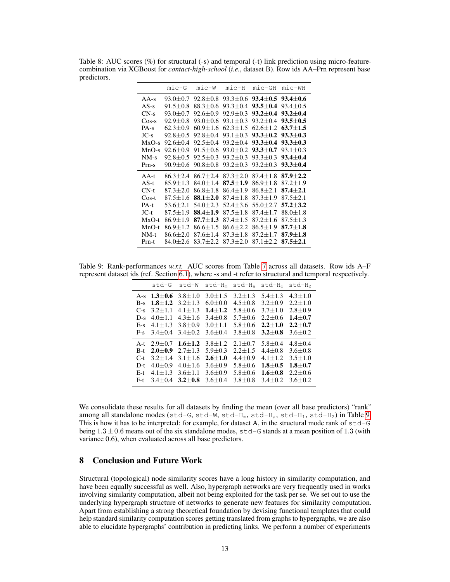<span id="page-12-0"></span>Table 8: AUC scores (%) for structural (-s) and temporal (-t) link prediction using micro-featurecombination via XGBoost for *contact-high-school* (*i.e.*, dataset B). Row ids AA–Prn represent base predictors.

|         | $minc-G$       | $mic-W$        | $minc-H$       | $mic-GH$       | $mic-WH$           |
|---------|----------------|----------------|----------------|----------------|--------------------|
| $AA-s$  | $93.0 \pm 0.7$ | $92.8 + 0.8$   | $93.3 + 0.6$   | $93.4 + 0.5$   | $93.4 + 0.6$       |
| $AS-s$  | $91.5 + 0.8$   | $88.3 + 0.6$   | $93.3 + 0.4$   | $93.5 \pm 0.4$ | $93.4 + 0.5$       |
| $CN-s$  | $93.0 + 0.7$   | $92.6 + 0.9$   | $92.9 + 0.3$   | $93.2 + 0.4$   | $93.2 + 0.4$       |
| $Cos-s$ | $92.9 + 0.8$   | $93.0 + 0.6$   | $93.1 + 0.3$   | $93.2 + 0.4$   | $93.5 + 0.5$       |
| $PA-S$  | $62.3 \pm 0.9$ | $60.9 + 1.6$   | $62.3 + 1.5$   | $62.6 \pm 1.2$ | $63.7 + 1.5$       |
| $JC-s$  | $92.8 + 0.5$   | $92.8 + 0.4$   | $93.1 + 0.3$   | $93.3 + 0.2$   | $93.3 + 0.3$       |
| $MxO-s$ | $92.6 \pm 0.4$ | $92.5 + 0.4$   | $93.2 + 0.4$   | $93.3 + 0.4$   | $93.3 + 0.3$       |
| $MnO-s$ | $92.6 + 0.9$   | $91.5 + 0.6$   | $93.0 + 0.2$   | $93.3 + 0.7$   | $93.1 + 0.3$       |
| $NM-s$  | $92.8 + 0.5$   | $92.5 + 0.3$   | $93.2 + 0.3$   | $93.3 + 0.3$   | $93.4 + 0.4$       |
| $Prn-s$ | $90.9 + 0.6$   | $90.8 + 0.8$   | $93.2 + 0.3$   | $93.2 + 0.3$   | $93.3 + 0.4$       |
| $AA-t$  | $86.3 + 2.4$   | $86.7 + 2.4$   | $87.3 + 2.0$   | $87.4 \pm 1.8$ | $87.9 + 2.2$       |
| $AS-t$  | $85.9 \pm 1.3$ | $84.0 + 1.4$   | $87.5 + 1.9$   | $86.9 \pm 1.8$ | $87.2 \pm 1.9$     |
| $CN-t$  | $87.3 \pm 2.0$ | $86.8 \pm 1.8$ | $86.4 \pm 1.9$ | $86.8 \pm 2.1$ | $87.4 + 2.1$       |
| $Cos-t$ | $87.5 \pm 1.6$ | $88.1 + 2.0$   | $87.4 + 1.8$   | $87.3 + 1.9$   | $87.5 + 2.1$       |
| $PA-t$  | $53.6 + 2.1$   | $54.0 + 2.3$   | $52.4 + 3.6$   | $55.0 + 2.7$   | $57.2 + 3.2$       |
| $JC-t$  | $87.5 \pm 1.9$ | $88.4 \pm 1.9$ | $87.5 \pm 1.8$ | $87.4 \pm 1.7$ | $88.0 \pm 1.8$     |
| $MxO-t$ | $86.9 + 1.9$   | $87.7 + 1.3$   | $87.4 + 1.5$   | $87.2 + 1.6$   | $87.5 + 1.3$       |
| $MnO-t$ | $86.9 \pm 1.2$ | $86.6 + 1.5$   | $86.6 + 2.2$   | $86.5 + 1.9$   | $87.7 + 1.8$       |
| NM-t    | $86.6 \pm 2.0$ | $87.6 \pm 1.4$ | $87.3 + 1.8$   | $87.2 + 1.7$   | $87.9 + 1.8$       |
| Prn-t   | $84.0 + 2.6$   | $83.7 + 2.2$   | $87.3 + 2.0$   | $87.1 + 2.2$   | $87.5 \!\pm\! 2.1$ |

<span id="page-12-1"></span>Table 9: Rank-performances *w.r.t.* AUC scores from Table [7](#page-11-1) across all datasets. Row ids A–F represent dataset ids (ref. Section [6.1\)](#page-8-4), where -s and -t refer to structural and temporal respectively.

|       | std-G         | st.d-W      | $std-H_m$   | std-H <sub>a</sub> | $std-H_1$   | std-H <sub>2</sub> |
|-------|---------------|-------------|-------------|--------------------|-------------|--------------------|
| $A-S$ | $1.3 \pm 0.6$ | $3.8 + 1.0$ | $3.0 + 1.5$ | $3.2 + 1.3$        | $5.4 + 1.3$ | $4.3 \pm 1.0$      |
| $B-s$ | $1.8 + 1.2$   | $3.2 + 1.3$ | $6.0 + 0.0$ | $4.5 + 0.8$        | $3.2 + 0.9$ | $2.2 + 1.0$        |
| $C-s$ | $3.2 + 1.1$   | $4.1 + 1.3$ | $1.4 + 1.2$ | $5.8 \pm 0.6$      | $3.7 + 1.0$ | $2.8 + 0.9$        |
| $D-s$ | $4.0 + 1.1$   | $4.3 + 1.6$ | $3.4 + 0.8$ | $5.7 + 0.6$        | $2.2 + 0.6$ | $1.4 + 0.7$        |
| $E-S$ | $4.1 + 1.3$   | $3.8 + 0.9$ | $3.0 + 1.1$ | $5.8 + 0.6$        | $2.2 + 1.0$ | $2.2 + 0.7$        |
| $F-S$ | $3.4 + 0.4$   | $3.4 + 0.2$ | $3.6 + 0.4$ | $3.8 + 0.8$        | $3.2 + 0.8$ | $3.6 + 0.2$        |
| $A-t$ | $2.9 + 0.7$   | $1.6 + 1.2$ | $3.8 + 1.2$ | $2.1 + 0.7$        | $5.8 + 0.4$ | $4.8 + 0.4$        |
| $B-t$ | $2.0 + 0.9$   | $2.7 + 1.3$ | $5.9 + 0.3$ | $2.2 + 1.5$        | $4.4 + 0.8$ | $3.6 + 0.8$        |
| $C-t$ | $3.2 + 1.4$   | $3.1 + 1.6$ | $2.6 + 1.0$ | $4.4 + 0.9$        | $4.1 + 1.2$ | $3.5 + 1.0$        |
| D-t   | $4.0 + 0.9$   | $4.0 + 1.6$ | $3.6 + 0.9$ | $5.8 + 0.6$        | $1.8 + 0.5$ | $1.8 + 0.7$        |
| $E-t$ | $4.1 + 1.3$   | $3.6 + 1.1$ | $3.6 + 0.9$ | $5.8 + 0.6$        | $1.6 + 0.8$ | $2.2 + 0.6$        |
| $F-t$ | $3.4 + 0.4$   | $3.2 + 0.8$ | $3.6 + 0.4$ | $3.8 + 0.8$        | $3.4 + 0.2$ | $3.6 + 0.2$        |

We consolidate these results for all datasets by finding the mean (over all base predictors) "rank" among all standalone modes (std-G, std-W, std-H<sub>m</sub>, std-H<sub>a</sub>, std-H<sub>1</sub>, std-H<sub>2</sub>) in Table [9.](#page-12-1) This is how it has to be interpreted: for example, for dataset A, in the structural mode rank of  $std-G$ being  $1.3 \pm 0.6$  means out of the six standalone modes,  $\text{std-G}$  stands at a mean position of 1.3 (with variance 0.6), when evaluated across all base predictors.

# 8 Conclusion and Future Work

Structural (topological) node similarity scores have a long history in similarity computation, and have been equally successful as well. Also, hypergraph networks are very frequently used in works involving similarity computation, albeit not being exploited for the task per se. We set out to use the underlying hypergraph structure of networks to generate new features for similarity computation. Apart from establishing a strong theoretical foundation by devising functional templates that could help standard similarity computation scores getting translated from graphs to hypergraphs, we are also able to elucidate hypergraphs' contribution in predicting links. We perform a number of experiments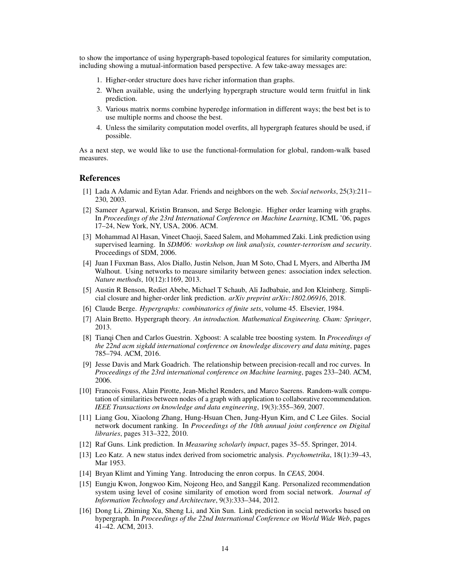to show the importance of using hypergraph-based topological features for similarity computation, including showing a mutual-information based perspective. A few take-away messages are:

- 1. Higher-order structure does have richer information than graphs.
- 2. When available, using the underlying hypergraph structure would term fruitful in link prediction.
- 3. Various matrix norms combine hyperedge information in different ways; the best bet is to use multiple norms and choose the best.
- 4. Unless the similarity computation model overfits, all hypergraph features should be used, if possible.

As a next step, we would like to use the functional-formulation for global, random-walk based measures.

# References

- <span id="page-13-9"></span>[1] Lada A Adamic and Eytan Adar. Friends and neighbors on the web. *Social networks*, 25(3):211– 230, 2003.
- <span id="page-13-6"></span>[2] Sameer Agarwal, Kristin Branson, and Serge Belongie. Higher order learning with graphs. In *Proceedings of the 23rd International Conference on Machine Learning*, ICML '06, pages 17–24, New York, NY, USA, 2006. ACM.
- <span id="page-13-7"></span>[3] Mohammad Al Hasan, Vineet Chaoji, Saeed Salem, and Mohammed Zaki. Link prediction using supervised learning. In *SDM06: workshop on link analysis, counter-terrorism and security*. Proceedings of SDM, 2006.
- <span id="page-13-1"></span>[4] Juan I Fuxman Bass, Alos Diallo, Justin Nelson, Juan M Soto, Chad L Myers, and Albertha JM Walhout. Using networks to measure similarity between genes: association index selection. *Nature methods*, 10(12):1169, 2013.
- <span id="page-13-12"></span>[5] Austin R Benson, Rediet Abebe, Michael T Schaub, Ali Jadbabaie, and Jon Kleinberg. Simplicial closure and higher-order link prediction. *arXiv preprint arXiv:1802.06916*, 2018.
- <span id="page-13-4"></span>[6] Claude Berge. *Hypergraphs: combinatorics of finite sets*, volume 45. Elsevier, 1984.
- <span id="page-13-5"></span>[7] Alain Bretto. Hypergraph theory. *An introduction. Mathematical Engineering. Cham: Springer*, 2013.
- <span id="page-13-14"></span>[8] Tianqi Chen and Carlos Guestrin. Xgboost: A scalable tree boosting system. In *Proceedings of the 22nd acm sigkdd international conference on knowledge discovery and data mining*, pages 785–794. ACM, 2016.
- <span id="page-13-15"></span>[9] Jesse Davis and Mark Goadrich. The relationship between precision-recall and roc curves. In *Proceedings of the 23rd international conference on Machine learning*, pages 233–240. ACM, 2006.
- <span id="page-13-3"></span>[10] Francois Fouss, Alain Pirotte, Jean-Michel Renders, and Marco Saerens. Random-walk computation of similarities between nodes of a graph with application to collaborative recommendation. *IEEE Transactions on knowledge and data engineering*, 19(3):355–369, 2007.
- <span id="page-13-0"></span>[11] Liang Gou, Xiaolong Zhang, Hung-Hsuan Chen, Jung-Hyun Kim, and C Lee Giles. Social network document ranking. In *Proceedings of the 10th annual joint conference on Digital libraries*, pages 313–322, 2010.
- <span id="page-13-11"></span>[12] Raf Guns. Link prediction. In *Measuring scholarly impact*, pages 35–55. Springer, 2014.
- <span id="page-13-8"></span>[13] Leo Katz. A new status index derived from sociometric analysis. *Psychometrika*, 18(1):39–43, Mar 1953.
- <span id="page-13-13"></span>[14] Bryan Klimt and Yiming Yang. Introducing the enron corpus. In *CEAS*, 2004.
- <span id="page-13-2"></span>[15] Eungju Kwon, Jongwoo Kim, Nojeong Heo, and Sanggil Kang. Personalized recommendation system using level of cosine similarity of emotion word from social network. *Journal of Information Technology and Architecture*, 9(3):333–344, 2012.
- <span id="page-13-10"></span>[16] Dong Li, Zhiming Xu, Sheng Li, and Xin Sun. Link prediction in social networks based on hypergraph. In *Proceedings of the 22nd International Conference on World Wide Web*, pages 41–42. ACM, 2013.